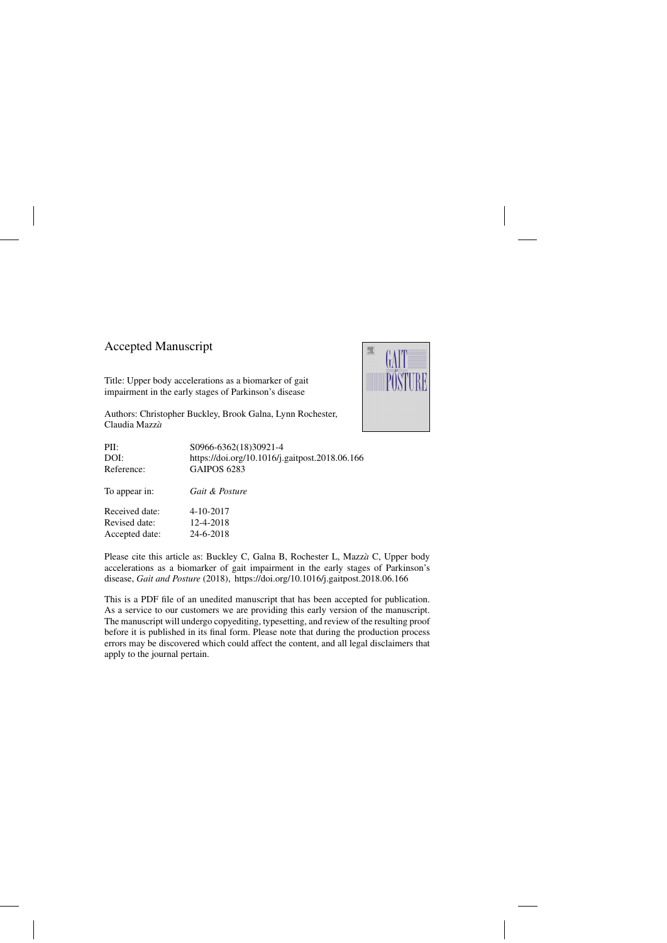# Accepted Manuscript

Title: Upper body accelerations as a biomarker of gait impairment in the early stages of Parkinson's disease

Authors: Christopher Buckley, Brook Galna, Lynn Rochester, Claudia Mazzà



Please cite this article as: Buckley C, Galna B, Rochester L, Mazzà C, Upper body accelerations as a biomarker of gait impairment in the early stages of Parkinson's disease, *Gait and Posture* (2018),<https://doi.org/10.1016/j.gaitpost.2018.06.166>

This is a PDF file of an unedited manuscript that has been accepted for publication. As a service to our customers we are providing this early version of the manuscript. The manuscript will undergo copyediting, typesetting, and review of the resulting proof before it is published in its final form. Please note that during the production process errors may be discovered which could affect the content, and all legal disclaimers that apply to the journal pertain.

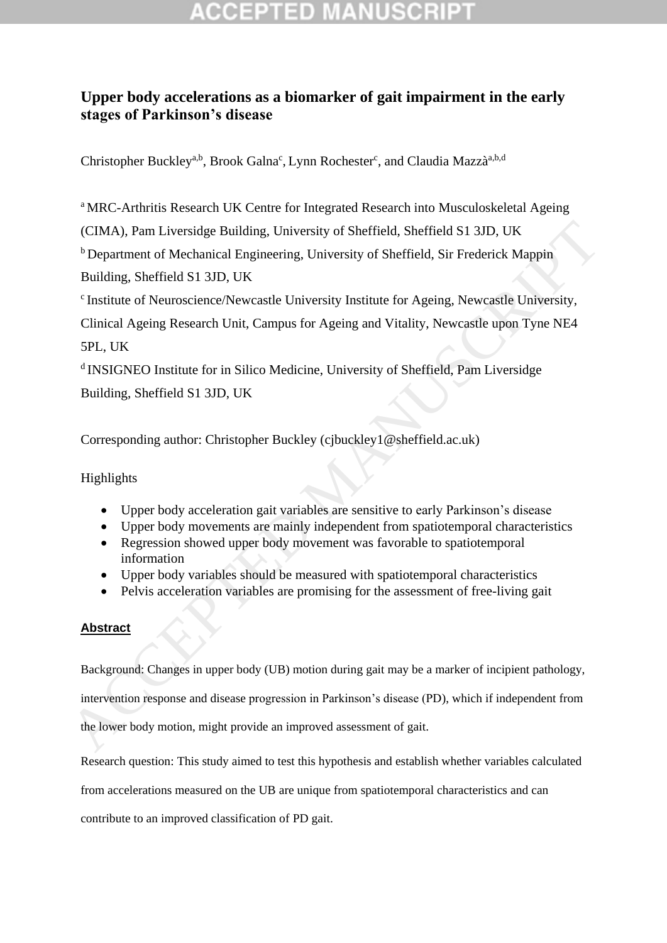# **Upper body accelerations as a biomarker of gait impairment in the early stages of Parkinson's disease**

Christopher Buckley<sup>a,b</sup>, Brook Galna<sup>c</sup>, Lynn Rochester<sup>c</sup>, and Claudia Mazzà<sup>a,b,d</sup>

<sup>a</sup> MRC-Arthritis Research UK Centre for Integrated Research into Musculoskeletal Ageing

(CIMA), Pam Liversidge Building, University of Sheffield, Sheffield S1 3JD, UK

<sup>b</sup> Department of Mechanical Engineering, University of Sheffield, Sir Frederick Mappin Building, Sheffield S1 3JD, UK

c Institute of Neuroscience/Newcastle University Institute for Ageing, Newcastle University,

Clinical Ageing Research Unit, Campus for Ageing and Vitality, Newcastle upon Tyne NE4 5PL, UK (CIMA), Pam Liversidge Building, University of Sheffield, Sheffield S1 3ID, UK<br>
<sup>h</sup> Department of Mechanical Engineering, University of Sheffield. Sir Frederick Mappin<br>
Building, Sheffield S1 3ID, UK<br>
\*Institute of Neuros

d INSIGNEO Institute for in Silico Medicine, University of Sheffield, Pam Liversidge Building, Sheffield S1 3JD, UK

Corresponding author: Christopher Buckley (cjbuckley1@sheffield.ac.uk)

Highlights

- Upper body acceleration gait variables are sensitive to early Parkinson's disease
- Upper body movements are mainly independent from spatiotemporal characteristics
- Regression showed upper body movement was favorable to spatiotemporal information
- Upper body variables should be measured with spatiotemporal characteristics
- Pelvis acceleration variables are promising for the assessment of free-living gait

## **Abstract**

Background: Changes in upper body (UB) motion during gait may be a marker of incipient pathology,

intervention response and disease progression in Parkinson's disease (PD), which if independent from

the lower body motion, might provide an improved assessment of gait.

Research question: This study aimed to test this hypothesis and establish whether variables calculated

from accelerations measured on the UB are unique from spatiotemporal characteristics and can

contribute to an improved classification of PD gait.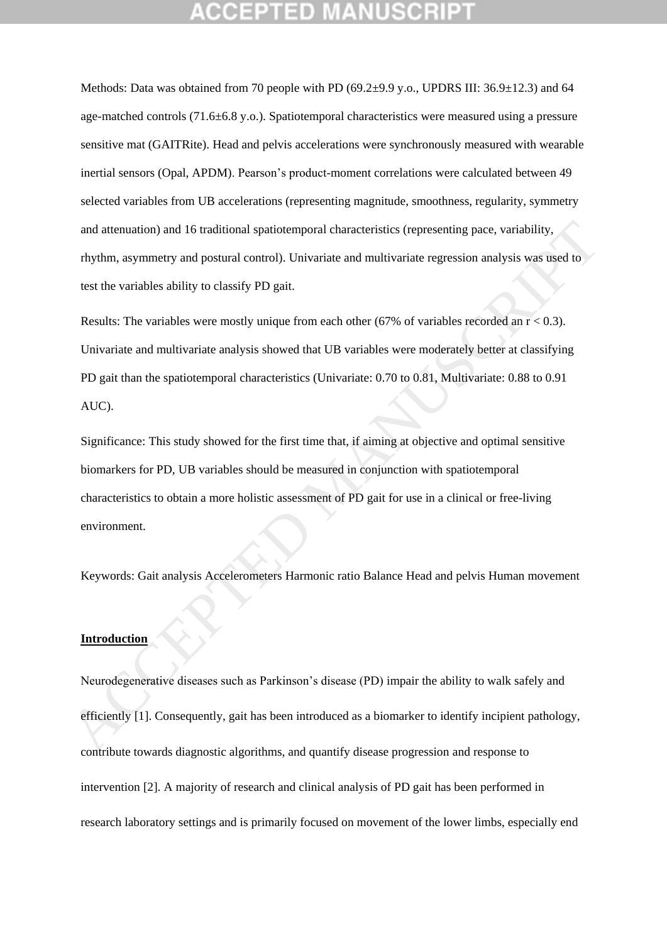Methods: Data was obtained from 70 people with PD (69.2 $\pm$ 9.9 y.o., UPDRS III: 36.9 $\pm$ 12.3) and 64 age-matched controls (71.6±6.8 y.o.). Spatiotemporal characteristics were measured using a pressure sensitive mat (GAITRite). Head and pelvis accelerations were synchronously measured with wearable inertial sensors (Opal, APDM). Pearson's product-moment correlations were calculated between 49 selected variables from UB accelerations (representing magnitude, smoothness, regularity, symmetry and attenuation) and 16 traditional spatiotemporal characteristics (representing pace, variability, rhythm, asymmetry and postural control). Univariate and multivariate regression analysis was used to test the variables ability to classify PD gait.

Results: The variables were mostly unique from each other (67% of variables recorded an  $r < 0.3$ ). Univariate and multivariate analysis showed that UB variables were moderately better at classifying PD gait than the spatiotemporal characteristics (Univariate: 0.70 to 0.81, Multivariate: 0.88 to 0.91 AUC). and attenuation) and 16 traditional spatiotemporal characteristics (representing pace, variability,<br>thythm, asymmetry and postural control). Univariate and multivariate regression analysis was used to<br>test the variables a

Significance: This study showed for the first time that, if aiming at objective and optimal sensitive biomarkers for PD, UB variables should be measured in conjunction with spatiotemporal characteristics to obtain a more holistic assessment of PD gait for use in a clinical or free-living environment.

Keywords: Gait analysis Accelerometers Harmonic ratio Balance Head and pelvis Human movement

### **Introduction**

Neurodegenerative diseases such as Parkinson's disease (PD) impair the ability to walk safely and efficiently [1]. Consequently, gait has been introduced as a biomarker to identify incipient pathology, contribute towards diagnostic algorithms, and quantify disease progression and response to intervention [2]. A majority of research and clinical analysis of PD gait has been performed in research laboratory settings and is primarily focused on movement of the lower limbs, especially end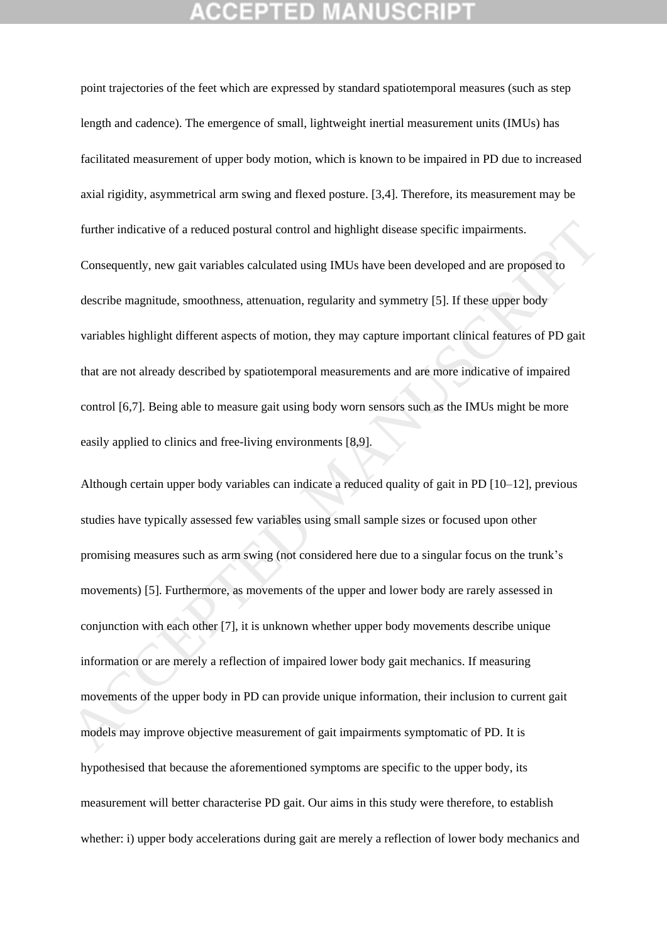point trajectories of the feet which are expressed by standard spatiotemporal measures (such as step length and cadence). The emergence of small, lightweight inertial measurement units (IMUs) has facilitated measurement of upper body motion, which is known to be impaired in PD due to increased axial rigidity, asymmetrical arm swing and flexed posture. [3,4]. Therefore, its measurement may be further indicative of a reduced postural control and highlight disease specific impairments.

Consequently, new gait variables calculated using IMUs have been developed and are proposed to describe magnitude, smoothness, attenuation, regularity and symmetry [5]. If these upper body variables highlight different aspects of motion, they may capture important clinical features of PD gait that are not already described by spatiotemporal measurements and are more indicative of impaired control [6,7]. Being able to measure gait using body worn sensors such as the IMUs might be more easily applied to clinics and free-living environments [8,9].

Although certain upper body variables can indicate a reduced quality of gait in PD [10–12], previous studies have typically assessed few variables using small sample sizes or focused upon other promising measures such as arm swing (not considered here due to a singular focus on the trunk's movements) [5]. Furthermore, as movements of the upper and lower body are rarely assessed in conjunction with each other [7], it is unknown whether upper body movements describe unique information or are merely a reflection of impaired lower body gait mechanics. If measuring movements of the upper body in PD can provide unique information, their inclusion to current gait models may improve objective measurement of gait impairments symptomatic of PD. It is hypothesised that because the aforementioned symptoms are specific to the upper body, its measurement will better characterise PD gait. Our aims in this study were therefore, to establish whether: i) upper body accelerations during gait are merely a reflection of lower body mechanics and further indicative of a reduced postural control and highlight disease specific impairments.<br>Consequently, new gait variables calculated using MUs have been developed and are proposed to<br>describe magnitude, smoothness, att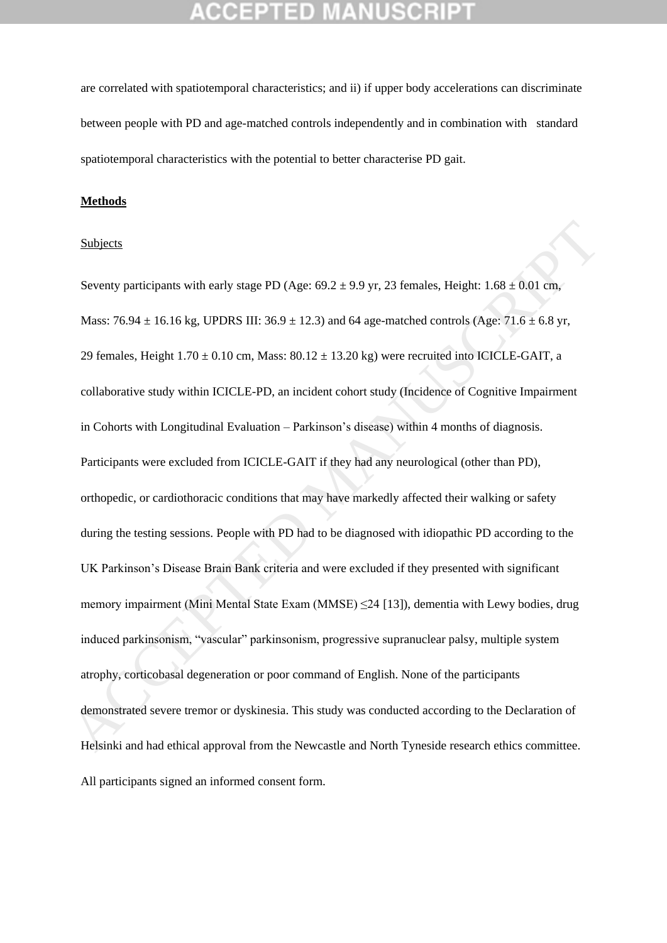are correlated with spatiotemporal characteristics; and ii) if upper body accelerations can discriminate between people with PD and age-matched controls independently and in combination with standard spatiotemporal characteristics with the potential to better characterise PD gait.

### **Methods**

### Subjects

Seventy participants with early stage PD (Age:  $69.2 \pm 9.9$  yr, 23 females, Height:  $1.68 \pm 0.01$  cm, Mass:  $76.94 \pm 16.16$  kg, UPDRS III:  $36.9 \pm 12.3$ ) and 64 age-matched controls (Age:  $71.6 \pm 6.8$  yr, 29 females, Height  $1.70 \pm 0.10$  cm, Mass:  $80.12 \pm 13.20$  kg) were recruited into ICICLE-GAIT, a collaborative study within ICICLE-PD, an incident cohort study (Incidence of Cognitive Impairment in Cohorts with Longitudinal Evaluation – Parkinson's disease) within 4 months of diagnosis. Participants were excluded from ICICLE-GAIT if they had any neurological (other than PD), orthopedic, or cardiothoracic conditions that may have markedly affected their walking or safety during the testing sessions. People with PD had to be diagnosed with idiopathic PD according to the UK Parkinson's Disease Brain Bank criteria and were excluded if they presented with significant memory impairment (Mini Mental State Exam (MMSE) ≤24 [13]), dementia with Lewy bodies, drug induced parkinsonism, "vascular" parkinsonism, progressive supranuclear palsy, multiple system atrophy, corticobasal degeneration or poor command of English. None of the participants demonstrated severe tremor or dyskinesia. This study was conducted according to the Declaration of Helsinki and had ethical approval from the Newcastle and North Tyneside research ethics committee. All participants signed an informed consent form. Subjects<br>
Seventy participants with early stage PD (Age: 69.2 ± 9.9 yr, 23 females, Height:  $1.68 \pm 0.01$  cm,<br>
Mass: 76.94 ± 16.16 kg, UPDRS III: 36.9 ± 12.3) and 64 age-matched controls (Age: 71.6 ± 6.8 yr,<br>
29 females,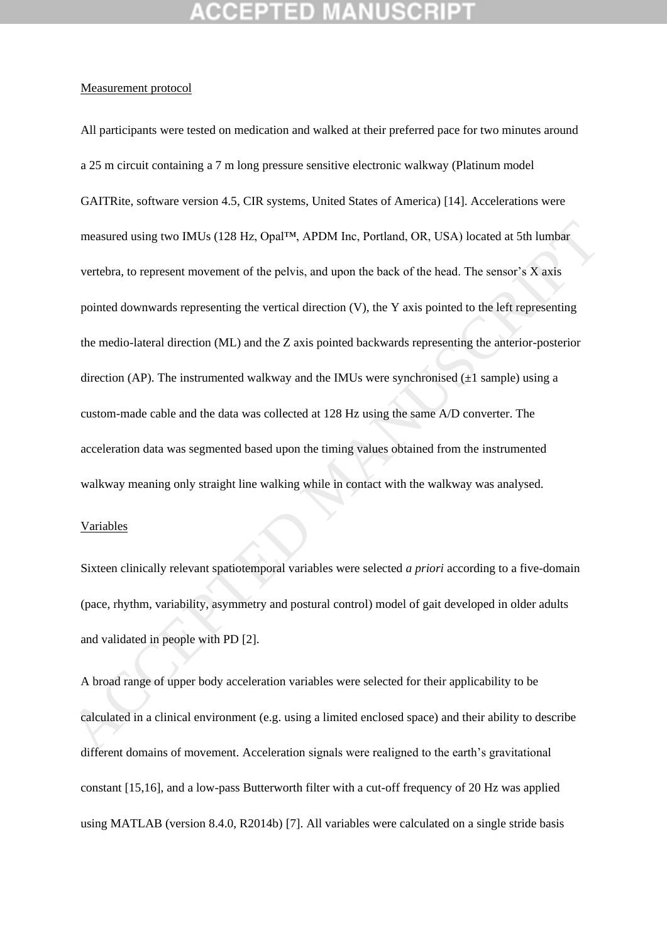### Measurement protocol

All participants were tested on medication and walked at their preferred pace for two minutes around a 25 m circuit containing a 7 m long pressure sensitive electronic walkway (Platinum model GAITRite, software version 4.5, CIR systems, United States of America) [14]. Accelerations were measured using two IMUs (128 Hz, Opal™, APDM Inc, Portland, OR, USA) located at 5th lumbar vertebra, to represent movement of the pelvis, and upon the back of the head. The sensor's X axis pointed downwards representing the vertical direction (V), the Y axis pointed to the left representing the medio-lateral direction (ML) and the Z axis pointed backwards representing the anterior-posterior direction (AP). The instrumented walkway and the IMUs were synchronised  $(\pm 1$  sample) using a custom-made cable and the data was collected at 128 Hz using the same A/D converter. The acceleration data was segmented based upon the timing values obtained from the instrumented walkway meaning only straight line walking while in contact with the walkway was analysed. measured using two IMUs (128 Hz, OpaI<sup>TM</sup><sub>1</sub>, APDM Inc, Portland, OR, USA) located at 5th lumbar<br>vertebra, to represent movement of the pelvis, and upon the back of the head. The sensor's X axis<br>pointed downwards represen

### Variables

Sixteen clinically relevant spatiotemporal variables were selected *a priori* according to a five-domain (pace, rhythm, variability, asymmetry and postural control) model of gait developed in older adults and validated in people with PD [2].

A broad range of upper body acceleration variables were selected for their applicability to be calculated in a clinical environment (e.g. using a limited enclosed space) and their ability to describe different domains of movement. Acceleration signals were realigned to the earth's gravitational constant [15,16], and a low-pass Butterworth filter with a cut-off frequency of 20 Hz was applied using MATLAB (version 8.4.0, R2014b) [7]. All variables were calculated on a single stride basis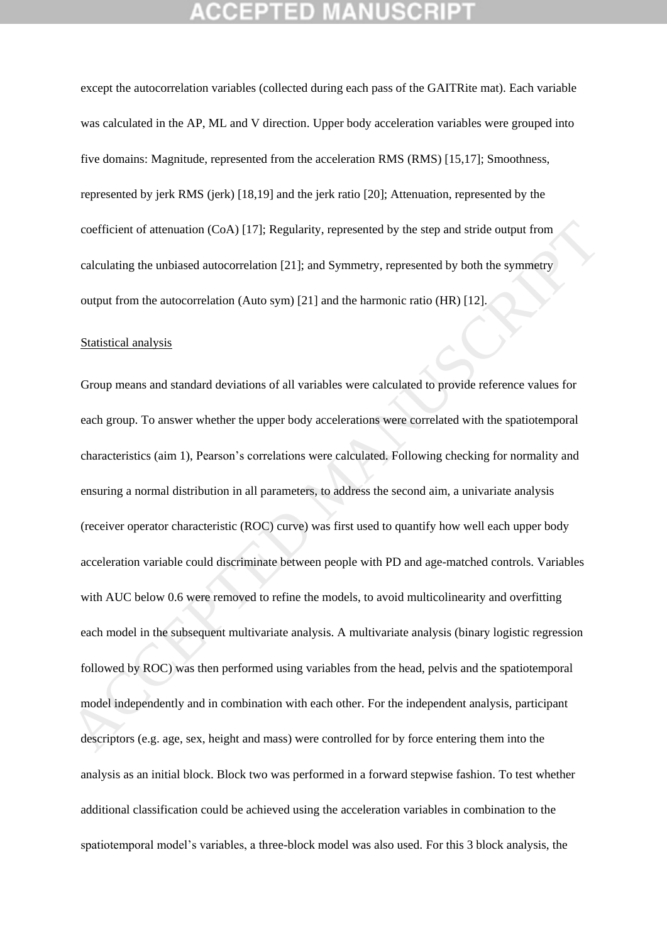except the autocorrelation variables (collected during each pass of the GAITRite mat). Each variable was calculated in the AP, ML and V direction. Upper body acceleration variables were grouped into five domains: Magnitude, represented from the acceleration RMS (RMS) [15,17]; Smoothness, represented by jerk RMS (jerk) [18,19] and the jerk ratio [20]; Attenuation, represented by the coefficient of attenuation (CoA) [17]; Regularity, represented by the step and stride output from calculating the unbiased autocorrelation [21]; and Symmetry, represented by both the symmetry output from the autocorrelation (Auto sym) [21] and the harmonic ratio (HR) [12].

### Statistical analysis

Group means and standard deviations of all variables were calculated to provide reference values for each group. To answer whether the upper body accelerations were correlated with the spatiotemporal characteristics (aim 1), Pearson's correlations were calculated. Following checking for normality and ensuring a normal distribution in all parameters, to address the second aim, a univariate analysis (receiver operator characteristic (ROC) curve) was first used to quantify how well each upper body acceleration variable could discriminate between people with PD and age-matched controls. Variables with AUC below 0.6 were removed to refine the models, to avoid multicolinearity and overfitting each model in the subsequent multivariate analysis. A multivariate analysis (binary logistic regression followed by ROC) was then performed using variables from the head, pelvis and the spatiotemporal model independently and in combination with each other. For the independent analysis, participant descriptors (e.g. age, sex, height and mass) were controlled for by force entering them into the analysis as an initial block. Block two was performed in a forward stepwise fashion. To test whether additional classification could be achieved using the acceleration variables in combination to the spatiotemporal model's variables, a three-block model was also used. For this 3 block analysis, the coefficient of attenuation (CoA) [17]; Regularity, represented by the step and stride output from<br>calculating the unbiased autocorrelation [21]; and Symmetry, represented by both the symmetry<br>output from the autocorrelatio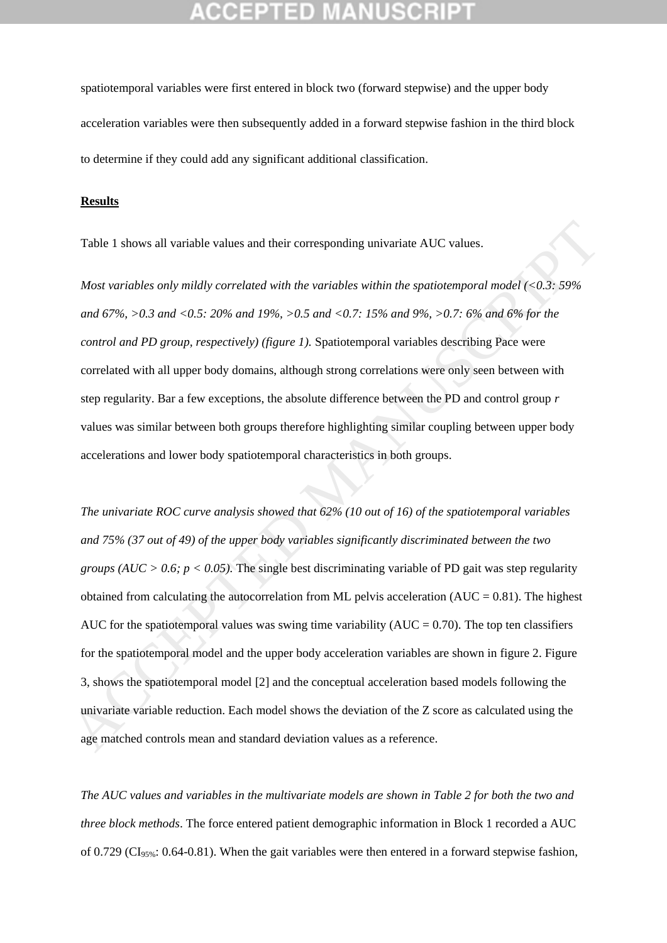spatiotemporal variables were first entered in block two (forward stepwise) and the upper body acceleration variables were then subsequently added in a forward stepwise fashion in the third block to determine if they could add any significant additional classification.

### **Results**

Table 1 shows all variable values and their corresponding univariate AUC values.

*Most variables only mildly correlated with the variables within the spatiotemporal model (<0.3: 59% and 67%, >0.3 and <0.5: 20% and 19%, >0.5 and <0.7: 15% and 9%, >0.7: 6% and 6% for the control and PD group, respectively) (figure 1).* Spatiotemporal variables describing Pace were correlated with all upper body domains, although strong correlations were only seen between with step regularity. Bar a few exceptions, the absolute difference between the PD and control group *r* values was similar between both groups therefore highlighting similar coupling between upper body accelerations and lower body spatiotemporal characteristics in both groups.

*The univariate ROC curve analysis showed that 62% (10 out of 16) of the spatiotemporal variables and 75% (37 out of 49) of the upper body variables significantly discriminated between the two groups (AUC > 0.6; p < 0.05).* The single best discriminating variable of PD gait was step regularity obtained from calculating the autocorrelation from ML pelvis acceleration  $(AUC = 0.81)$ . The highest AUC for the spatiotemporal values was swing time variability ( $AUC = 0.70$ ). The top ten classifiers for the spatiotemporal model and the upper body acceleration variables are shown in figure 2. Figure 3, shows the spatiotemporal model [2] and the conceptual acceleration based models following the univariate variable reduction. Each model shows the deviation of the Z score as calculated using the age matched controls mean and standard deviation values as a reference. Table 1 shows all variable values and their corresponding univariate AUC values.<br>
Most variables only mildly correlated with the variables within the spatiotemporal model (<0.3: 59%<br>
and 67%, >0.3 and <0.5: 20% and 19%, >

*The AUC values and variables in the multivariate models are shown in Table 2 for both the two and three block methods*. The force entered patient demographic information in Block 1 recorded a AUC of 0.729 ( $CI<sub>95%</sub>: 0.64-0.81$ ). When the gait variables were then entered in a forward stepwise fashion,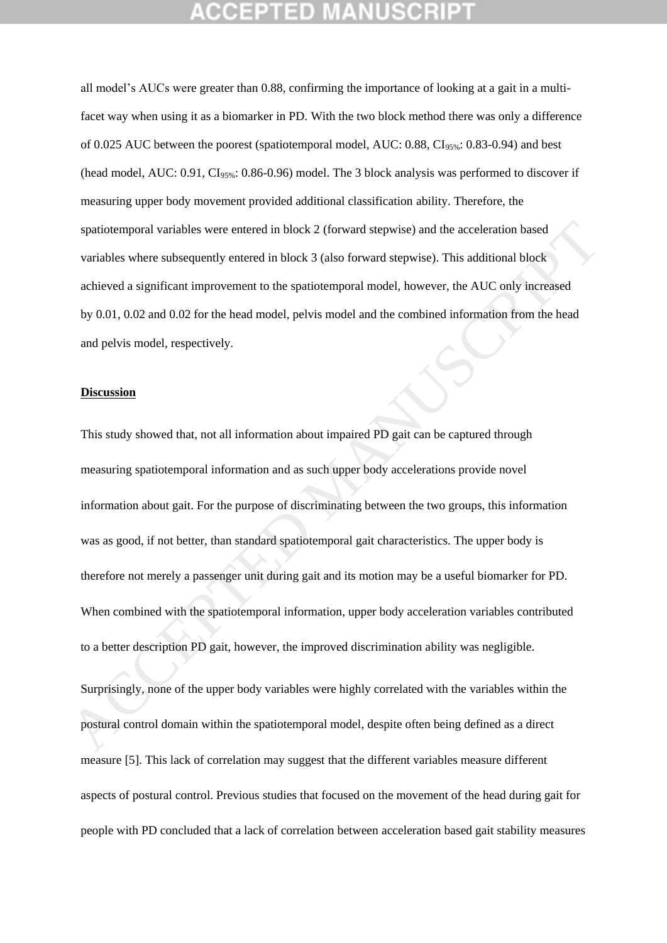all model's AUCs were greater than 0.88, confirming the importance of looking at a gait in a multifacet way when using it as a biomarker in PD. With the two block method there was only a difference of 0.025 AUC between the poorest (spatiotemporal model, AUC:  $0.88$ , CI<sub>95%</sub>:  $0.83-0.94$ ) and best (head model, AUC:  $0.91$ , CI<sub>95%</sub>:  $0.86$ -0.96) model. The 3 block analysis was performed to discover if measuring upper body movement provided additional classification ability. Therefore, the spatiotemporal variables were entered in block 2 (forward stepwise) and the acceleration based variables where subsequently entered in block 3 (also forward stepwise). This additional block achieved a significant improvement to the spatiotemporal model, however, the AUC only increased by 0.01, 0.02 and 0.02 for the head model, pelvis model and the combined information from the head and pelvis model, respectively.

### **Discussion**

This study showed that, not all information about impaired PD gait can be captured through measuring spatiotemporal information and as such upper body accelerations provide novel information about gait. For the purpose of discriminating between the two groups, this information was as good, if not better, than standard spatiotemporal gait characteristics. The upper body is therefore not merely a passenger unit during gait and its motion may be a useful biomarker for PD. When combined with the spatiotemporal information, upper body acceleration variables contributed to a better description PD gait, however, the improved discrimination ability was negligible. spatiotemporal variables were entered in block 2 (forward stepwise) and the acceleration based<br>variables where subsequendy eutered in block 3 (also forward stepwise). This additional block<br>achieved a significant improvemen

Surprisingly, none of the upper body variables were highly correlated with the variables within the postural control domain within the spatiotemporal model, despite often being defined as a direct measure [5]. This lack of correlation may suggest that the different variables measure different aspects of postural control. Previous studies that focused on the movement of the head during gait for people with PD concluded that a lack of correlation between acceleration based gait stability measures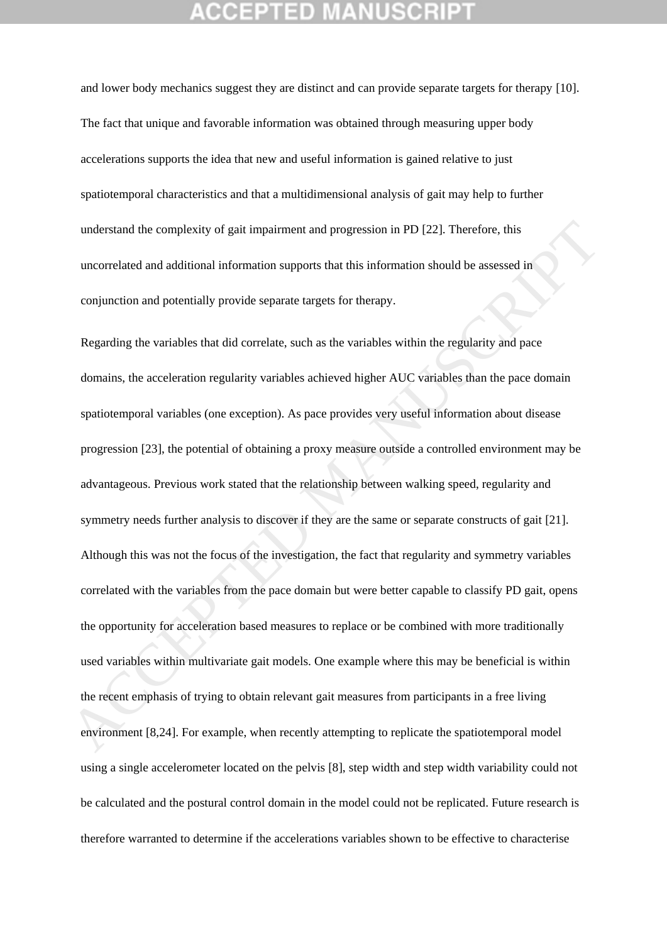and lower body mechanics suggest they are distinct and can provide separate targets for therapy [10]. The fact that unique and favorable information was obtained through measuring upper body accelerations supports the idea that new and useful information is gained relative to just spatiotemporal characteristics and that a multidimensional analysis of gait may help to further understand the complexity of gait impairment and progression in PD [22]. Therefore, this uncorrelated and additional information supports that this information should be assessed in conjunction and potentially provide separate targets for therapy.

Regarding the variables that did correlate, such as the variables within the regularity and pace domains, the acceleration regularity variables achieved higher AUC variables than the pace domain spatiotemporal variables (one exception). As pace provides very useful information about disease progression [23], the potential of obtaining a proxy measure outside a controlled environment may be advantageous. Previous work stated that the relationship between walking speed, regularity and symmetry needs further analysis to discover if they are the same or separate constructs of gait [21]. Although this was not the focus of the investigation, the fact that regularity and symmetry variables correlated with the variables from the pace domain but were better capable to classify PD gait, opens the opportunity for acceleration based measures to replace or be combined with more traditionally used variables within multivariate gait models. One example where this may be beneficial is within the recent emphasis of trying to obtain relevant gait measures from participants in a free living environment [8,24]. For example, when recently attempting to replicate the spatiotemporal model using a single accelerometer located on the pelvis [8], step width and step width variability could not be calculated and the postural control domain in the model could not be replicated. Future research is therefore warranted to determine if the accelerations variables shown to be effective to characterise understand the complexity of gait impairment and progression in PD [22]. Therefore, this<br>uncorrelated and additional information supports that this information should be assessed in<br>conjunction and potentially provide sepa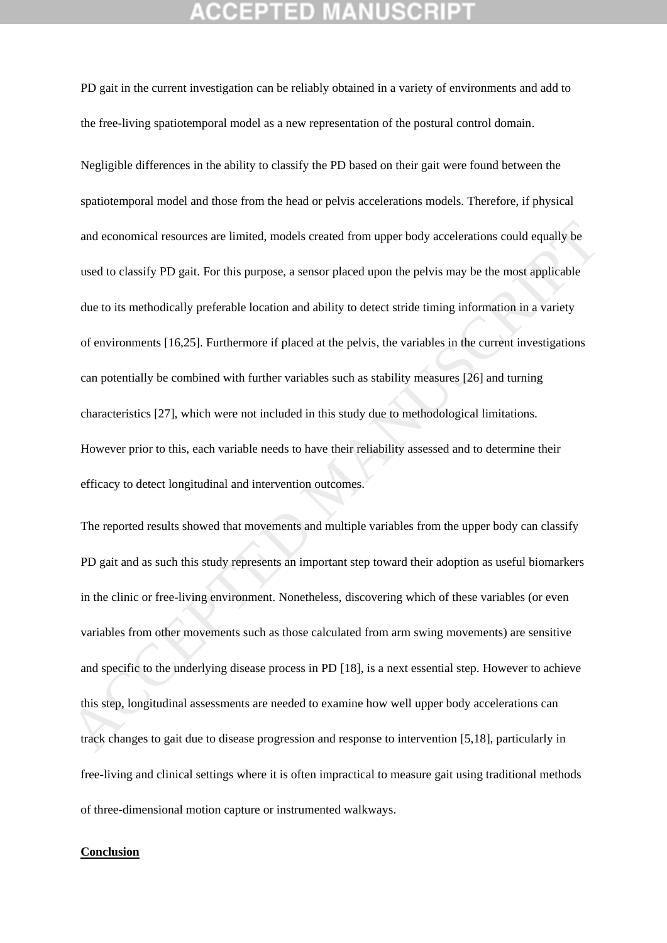PD gait in the current investigation can be reliably obtained in a variety of environments and add to the free-living spatiotemporal model as a new representation of the postural control domain.

Negligible differences in the ability to classify the PD based on their gait were found between the spatiotemporal model and those from the head or pelvis accelerations models. Therefore, if physical and economical resources are limited, models created from upper body accelerations could equally be used to classify PD gait. For this purpose, a sensor placed upon the pelvis may be the most applicable due to its methodically preferable location and ability to detect stride timing information in a variety of environments [16,25]. Furthermore if placed at the pelvis, the variables in the current investigations can potentially be combined with further variables such as stability measures [26] and turning characteristics [27], which were not included in this study due to methodological limitations. However prior to this, each variable needs to have their reliability assessed and to determine their efficacy to detect longitudinal and intervention outcomes. and economical resources are limited, models created from upper body accelerations could equally be<br>used to classify PD gait. For this purpose, a sensor placed upon the pelvis may be the most applicable<br>due to its methodic

The reported results showed that movements and multiple variables from the upper body can classify PD gait and as such this study represents an important step toward their adoption as useful biomarkers in the clinic or free-living environment. Nonetheless, discovering which of these variables (or even variables from other movements such as those calculated from arm swing movements) are sensitive and specific to the underlying disease process in PD [18], is a next essential step. However to achieve this step, longitudinal assessments are needed to examine how well upper body accelerations can track changes to gait due to disease progression and response to intervention [5,18], particularly in free-living and clinical settings where it is often impractical to measure gait using traditional methods of three-dimensional motion capture or instrumented walkways.

### **Conclusion**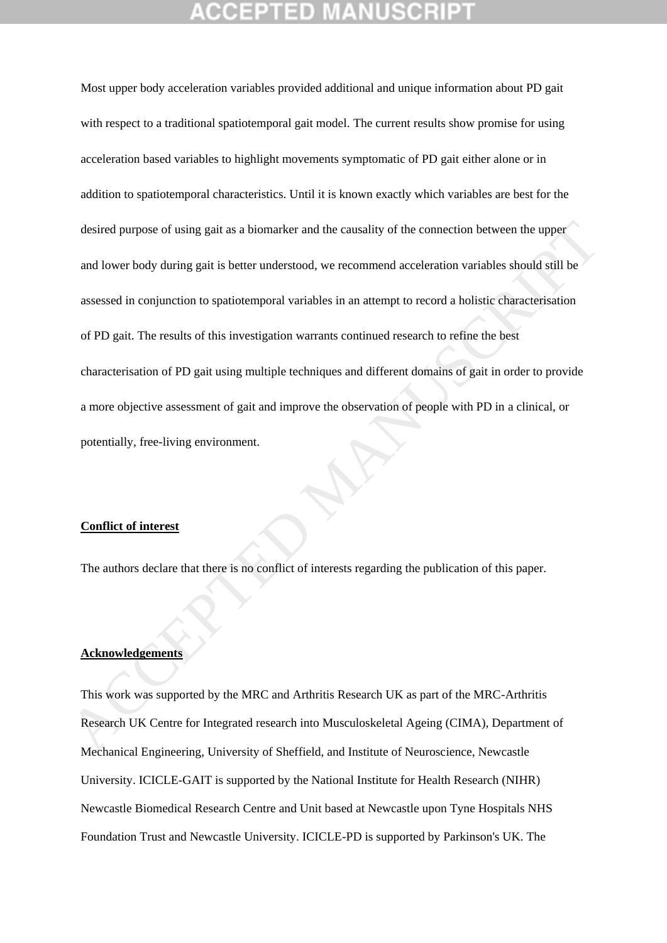Most upper body acceleration variables provided additional and unique information about PD gait with respect to a traditional spatiotemporal gait model. The current results show promise for using acceleration based variables to highlight movements symptomatic of PD gait either alone or in addition to spatiotemporal characteristics. Until it is known exactly which variables are best for the desired purpose of using gait as a biomarker and the causality of the connection between the upper and lower body during gait is better understood, we recommend acceleration variables should still be assessed in conjunction to spatiotemporal variables in an attempt to record a holistic characterisation of PD gait. The results of this investigation warrants continued research to refine the best characterisation of PD gait using multiple techniques and different domains of gait in order to provide a more objective assessment of gait and improve the observation of people with PD in a clinical, or potentially, free-living environment. desired purpose of using gait as a biomarker and the causality of the connection between the upper<br>and lower body during gait is better understood, we recommend acceleration variables should still be<br>nessessed in conjuncti

### **Conflict of interest**

The authors declare that there is no conflict of interests regarding the publication of this paper.

### **Acknowledgements**

This work was supported by the MRC and Arthritis Research UK as part of the MRC-Arthritis Research UK Centre for Integrated research into Musculoskeletal Ageing (CIMA), Department of Mechanical Engineering, University of Sheffield, and Institute of Neuroscience, Newcastle University. ICICLE-GAIT is supported by the National Institute for Health Research (NIHR) Newcastle Biomedical Research Centre and Unit based at Newcastle upon Tyne Hospitals NHS Foundation Trust and Newcastle University. ICICLE-PD is supported by Parkinson's UK. The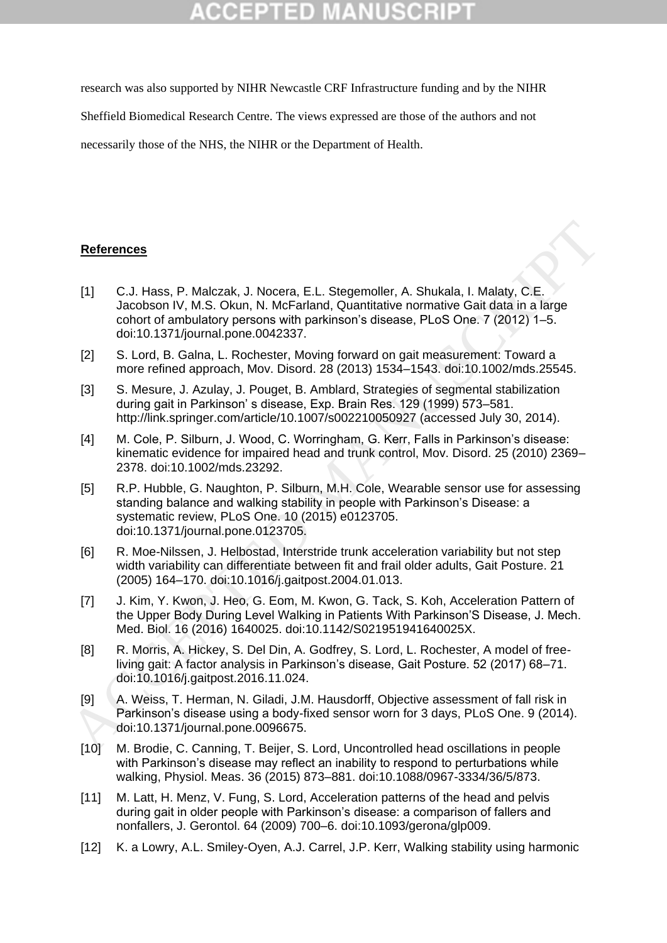research was also supported by NIHR Newcastle CRF Infrastructure funding and by the NIHR

Sheffield Biomedical Research Centre. The views expressed are those of the authors and not

necessarily those of the NHS, the NIHR or the Department of Health.

### **References**

- [1] C.J. Hass, P. Malczak, J. Nocera, E.L. Stegemoller, A. Shukala, I. Malaty, C.E. Jacobson IV, M.S. Okun, N. McFarland, Quantitative normative Gait data in a large cohort of ambulatory persons with parkinson's disease, PLoS One. 7 (2012) 1–5. doi:10.1371/journal.pone.0042337.
- [2] S. Lord, B. Galna, L. Rochester, Moving forward on gait measurement: Toward a more refined approach, Mov. Disord. 28 (2013) 1534–1543. doi:10.1002/mds.25545.
- [3] S. Mesure, J. Azulay, J. Pouget, B. Amblard, Strategies of segmental stabilization during gait in Parkinson' s disease, Exp. Brain Res. 129 (1999) 573–581. http://link.springer.com/article/10.1007/s002210050927 (accessed July 30, 2014).
- [4] M. Cole, P. Silburn, J. Wood, C. Worringham, G. Kerr, Falls in Parkinson's disease: kinematic evidence for impaired head and trunk control, Mov. Disord. 25 (2010) 2369– 2378. doi:10.1002/mds.23292.
- [5] R.P. Hubble, G. Naughton, P. Silburn, M.H. Cole, Wearable sensor use for assessing standing balance and walking stability in people with Parkinson's Disease: a systematic review, PLoS One. 10 (2015) e0123705. doi:10.1371/journal.pone.0123705. References<br>
11 C.J. Hass, P. Malczak, J. Nocera, E.L. Stegemoller, A. Shukala, I. Malaty, C.E.<br>
Jacobson W. M.S. Okun. N. McFarland, Quantitative normative Gail dala in a large<br>
cohor of ambulatory persons with perkinson's
	- [6] R. Moe-Nilssen, J. Helbostad, Interstride trunk acceleration variability but not step width variability can differentiate between fit and frail older adults, Gait Posture. 21 (2005) 164–170. doi:10.1016/j.gaitpost.2004.01.013.
	- [7] J. Kim, Y. Kwon, J. Heo, G. Eom, M. Kwon, G. Tack, S. Koh, Acceleration Pattern of the Upper Body During Level Walking in Patients With Parkinson'S Disease, J. Mech. Med. Biol. 16 (2016) 1640025. doi:10.1142/S021951941640025X.
	- [8] R. Morris, A. Hickey, S. Del Din, A. Godfrey, S. Lord, L. Rochester, A model of freeliving gait: A factor analysis in Parkinson's disease, Gait Posture. 52 (2017) 68–71. doi:10.1016/j.gaitpost.2016.11.024.
	- [9] A. Weiss, T. Herman, N. Giladi, J.M. Hausdorff, Objective assessment of fall risk in Parkinson's disease using a body-fixed sensor worn for 3 days, PLoS One. 9 (2014). doi:10.1371/journal.pone.0096675.
	- [10] M. Brodie, C. Canning, T. Beijer, S. Lord, Uncontrolled head oscillations in people with Parkinson's disease may reflect an inability to respond to perturbations while walking, Physiol. Meas. 36 (2015) 873–881. doi:10.1088/0967-3334/36/5/873.
	- [11] M. Latt, H. Menz, V. Fung, S. Lord, Acceleration patterns of the head and pelvis during gait in older people with Parkinson's disease: a comparison of fallers and nonfallers, J. Gerontol. 64 (2009) 700–6. doi:10.1093/gerona/glp009.
	- [12] K. a Lowry, A.L. Smiley-Oyen, A.J. Carrel, J.P. Kerr, Walking stability using harmonic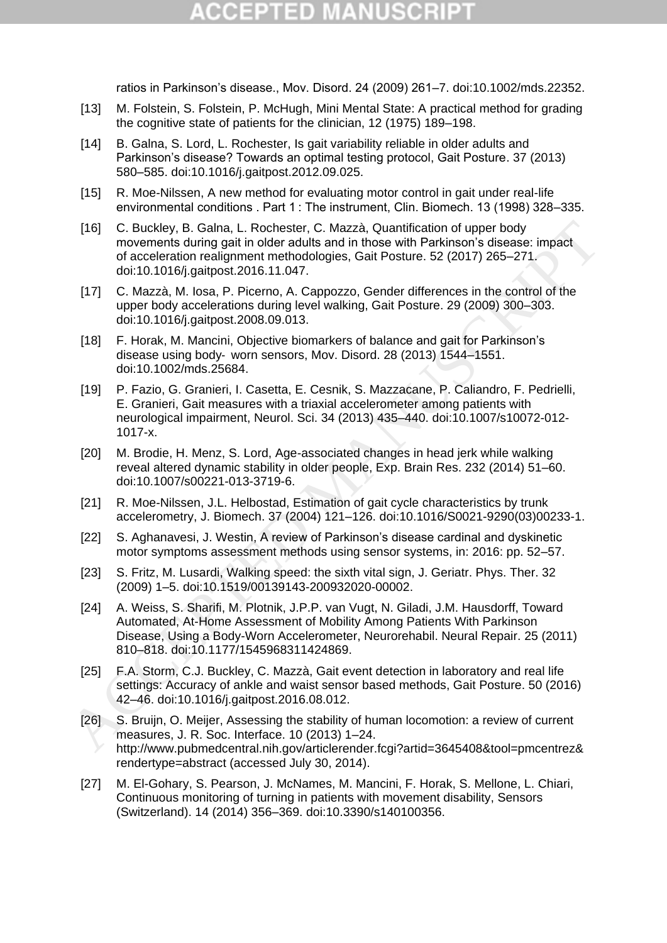# (CEPTED)

ratios in Parkinson's disease., Mov. Disord. 24 (2009) 261–7. doi:10.1002/mds.22352.

- [13] M. Folstein, S. Folstein, P. McHugh, Mini Mental State: A practical method for grading the cognitive state of patients for the clinician, 12 (1975) 189–198.
- [14] B. Galna, S. Lord, L. Rochester, Is gait variability reliable in older adults and Parkinson's disease? Towards an optimal testing protocol, Gait Posture. 37 (2013) 580–585. doi:10.1016/j.gaitpost.2012.09.025.
- [15] R. Moe-Nilssen, A new method for evaluating motor control in gait under real-life environmental conditions . Part 1 : The instrument, Clin. Biomech. 13 (1998) 328–335.
- [16] C. Buckley, B. Galna, L. Rochester, C. Mazzà, Quantification of upper body movements during gait in older adults and in those with Parkinson's disease: impact of acceleration realignment methodologies, Gait Posture. 52 (2017) 265–271. doi:10.1016/j.gaitpost.2016.11.047.
- [17] C. Mazzà, M. Iosa, P. Picerno, A. Cappozzo, Gender differences in the control of the upper body accelerations during level walking, Gait Posture. 29 (2009) 300–303. doi:10.1016/j.gaitpost.2008.09.013.
- [18] F. Horak, M. Mancini, Objective biomarkers of balance and gait for Parkinson's disease using body‐ worn sensors, Mov. Disord. 28 (2013) 1544–1551. doi:10.1002/mds.25684.
- [19] P. Fazio, G. Granieri, I. Casetta, E. Cesnik, S. Mazzacane, P. Caliandro, F. Pedrielli, E. Granieri, Gait measures with a triaxial accelerometer among patients with neurological impairment, Neurol. Sci. 34 (2013) 435–440. doi:10.1007/s10072-012- 1017-x. (16) C. Buckley, B. Glania, L. Rochester, C. Mazzà, Quantification of upper bordy<br>
movements during gait in older adults and in those with Parkinson's disease: impact<br>
of acceleration realignment methodologies, Gait Postur
	- [20] M. Brodie, H. Menz, S. Lord, Age-associated changes in head jerk while walking reveal altered dynamic stability in older people, Exp. Brain Res. 232 (2014) 51–60. doi:10.1007/s00221-013-3719-6.
	- [21] R. Moe-Nilssen, J.L. Helbostad, Estimation of gait cycle characteristics by trunk accelerometry, J. Biomech. 37 (2004) 121–126. doi:10.1016/S0021-9290(03)00233-1.
	- [22] S. Aghanavesi, J. Westin, A review of Parkinson's disease cardinal and dyskinetic motor symptoms assessment methods using sensor systems, in: 2016: pp. 52–57.
	- [23] S. Fritz, M. Lusardi, Walking speed: the sixth vital sign, J. Geriatr. Phys. Ther. 32 (2009) 1–5. doi:10.1519/00139143-200932020-00002.
	- [24] A. Weiss, S. Sharifi, M. Plotnik, J.P.P. van Vugt, N. Giladi, J.M. Hausdorff, Toward Automated, At-Home Assessment of Mobility Among Patients With Parkinson Disease, Using a Body-Worn Accelerometer, Neurorehabil. Neural Repair. 25 (2011) 810–818. doi:10.1177/1545968311424869.
	- [25] F.A. Storm, C.J. Buckley, C. Mazzà, Gait event detection in laboratory and real life settings: Accuracy of ankle and waist sensor based methods, Gait Posture. 50 (2016) 42–46. doi:10.1016/j.gaitpost.2016.08.012.
	- [26] S. Bruijn, O. Meijer, Assessing the stability of human locomotion: a review of current measures, J. R. Soc. Interface. 10 (2013) 1–24. http://www.pubmedcentral.nih.gov/articlerender.fcgi?artid=3645408&tool=pmcentrez& rendertype=abstract (accessed July 30, 2014).
	- [27] M. El-Gohary, S. Pearson, J. McNames, M. Mancini, F. Horak, S. Mellone, L. Chiari, Continuous monitoring of turning in patients with movement disability, Sensors (Switzerland). 14 (2014) 356–369. doi:10.3390/s140100356.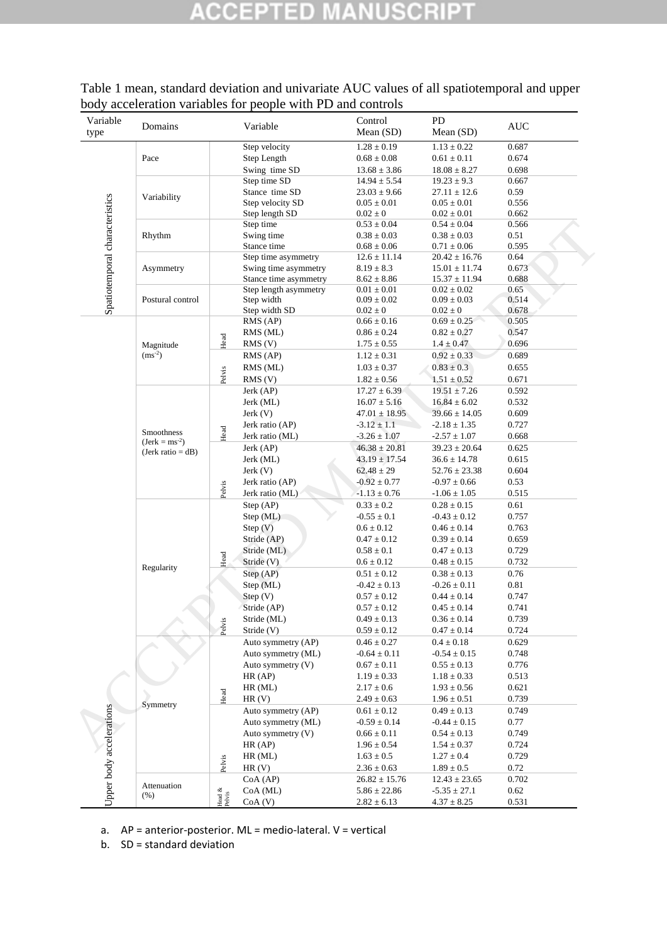# **ACCEPTED MANUSCRIPT**

| Variable<br>type               | Domains                                   |                  | Variable              | Control<br>Mean (SD) | PD<br>Mean (SD)   | <b>AUC</b> |  |
|--------------------------------|-------------------------------------------|------------------|-----------------------|----------------------|-------------------|------------|--|
|                                |                                           |                  | Step velocity         | $1.28 \pm 0.19$      | $1.13\pm0.22$     | 0.687      |  |
| Spatiotemporal characteristics | Pace                                      |                  | Step Length           | $0.68 \pm 0.08$      | $0.61 \pm 0.11$   | 0.674      |  |
|                                |                                           |                  | Swing time SD         | $13.68 \pm 3.86$     | $18.08 \pm 8.27$  | 0.698      |  |
|                                |                                           |                  | Step time SD          | $14.94 \pm 5.54$     | $19.23 \pm 9.3$   | 0.667      |  |
|                                | Variability                               |                  | Stance time SD        | $23.03 \pm 9.66$     | $27.11 \pm 12.6$  | 0.59       |  |
|                                |                                           |                  | Step velocity SD      | $0.05 \pm 0.01$      | $0.05 \pm 0.01$   | 0.556      |  |
|                                |                                           |                  | Step length SD        | $0.02 \pm 0$         | $0.02 \pm 0.01$   | 0.662      |  |
|                                |                                           |                  | Step time             | $0.53 \pm 0.04$      | $0.54\pm0.04$     | 0.566      |  |
|                                | Rhythm                                    |                  | Swing time            | $0.38 \pm 0.03$      | $0.38 \pm 0.03$   | 0.51       |  |
|                                |                                           |                  | Stance time           | $0.68 \pm 0.06$      | $0.71 \pm 0.06$   | 0.595      |  |
|                                |                                           |                  | Step time asymmetry   | $12.6 \pm 11.14$     | $20.42 \pm 16.76$ | 0.64       |  |
|                                | Asymmetry                                 |                  | Swing time asymmetry  | $8.19 \pm 8.3$       | $15.01 \pm 11.74$ | 0.673      |  |
|                                |                                           |                  | Stance time asymmetry | $8.62 \pm 8.86$      | $15.37 \pm 11.94$ | 0.688      |  |
|                                |                                           |                  | Step length asymmetry | $0.01 \pm 0.01$      | $0.02 \pm 0.02$   | 0.65       |  |
|                                | Postural control                          |                  | Step width            | $0.09 \pm 0.02$      | $0.09 \pm 0.03$   | 0.514      |  |
|                                |                                           |                  | Step width SD         | $0.02 \pm 0$         | $0.02\pm0$        | 0.678      |  |
|                                |                                           |                  | RMS (AP)              | $0.66 \pm 0.16$      | $0.69 \pm 0.25$   | 0.505      |  |
|                                |                                           |                  | RMS (ML)              | $0.86 \pm 0.24$      | $0.82 \pm 0.27$   | 0.547      |  |
|                                | Magnitude                                 | Head             | RMS(V)                | $1.75 \pm 0.55$      | $1.4 \pm 0.47$    | 0.696      |  |
|                                | $(ms^{-2})$                               |                  | RMS (AP)              | $1.12 \pm 0.31$      | $0.92 \pm 0.33$   | 0.689      |  |
|                                |                                           |                  | RMS (ML)              | $1.03 \pm 0.37$      | $0.83 \pm 0.3$    | 0.655      |  |
|                                |                                           | Pelvis           | $RMS$ (V)             | $1.82 \pm 0.56$      | $1.51 \pm 0.52$   | 0.671      |  |
|                                |                                           |                  | Jerk (AP)             | $17.27 \pm 6.39$     | $19.51 \pm 7.26$  | 0.592      |  |
|                                |                                           |                  | Jerk (ML)             | $16.07 \pm 5.16$     | $16.84 \pm 6.02$  | 0.532      |  |
|                                |                                           |                  | Jerk(V)               | $47.01 \pm 18.95$    | $39.66 \pm 14.05$ | 0.609      |  |
|                                |                                           |                  | Jerk ratio (AP)       | $-3.12 \pm 1.1$      | $-2.18 \pm 1.35$  | 0.727      |  |
|                                | Smoothness                                | Head             | Jerk ratio (ML)       | $-3.26 \pm 1.07$     | $-2.57 \pm 1.07$  | 0.668      |  |
|                                | $(Jerk = ms^{-2})$<br>$(Jerk ratio = dB)$ |                  | Jerk (AP)             | $46.38 \pm 20.81$    | $39.23 \pm 20.64$ | 0.625      |  |
|                                |                                           |                  |                       |                      |                   | 0.615      |  |
|                                |                                           |                  | Jerk (ML)             | $43.19 \pm 17.54$    | $36.6 \pm 14.78$  |            |  |
|                                |                                           | Pelvis           | Jerk(V)               | $62.48 \pm 29$       | $52.76 \pm 23.38$ | 0.604      |  |
|                                |                                           |                  | Jerk ratio (AP)       | $-0.92 \pm 0.77$     | $-0.97 \pm 0.66$  | 0.53       |  |
|                                |                                           |                  | Jerk ratio (ML)       | $-1.13 \pm 0.76$     | $-1.06 \pm 1.05$  | 0.515      |  |
|                                |                                           |                  | Step (AP)             | $0.33 \pm 0.2$       | $0.28 \pm 0.15$   | 0.61       |  |
|                                |                                           |                  | Step (ML)             | $-0.55 \pm 0.1$      | $-0.43 \pm 0.12$  | 0.757      |  |
|                                |                                           |                  | Step (V)              | $0.6 \pm 0.12$       | $0.46 \pm 0.14$   | 0.763      |  |
|                                |                                           |                  | Stride (AP)           | $0.47 \pm 0.12$      | $0.39 \pm 0.14$   | 0.659      |  |
|                                | Regularity                                |                  | Stride (ML)           | $0.58 \pm 0.1$       | $0.47 \pm 0.13$   | 0.729      |  |
|                                |                                           | Head             | Stride (V)            | $0.6 \pm 0.12$       | $0.48 \pm 0.15$   | 0.732      |  |
|                                |                                           |                  | Step (AP)             | $0.51 \pm 0.12$      | $0.38 \pm 0.13$   | 0.76       |  |
|                                |                                           |                  | Step (ML)             | $-0.42 \pm 0.13$     | $-0.26 \pm 0.11$  | 0.81       |  |
|                                |                                           |                  | Step (V)              | $0.57 \pm 0.12$      | $0.44 \pm 0.14$   | 0.747      |  |
| Upper body accelerations       |                                           |                  | Stride (AP)           | $0.57 \pm 0.12$      | $0.45 \pm 0.14$   | 0.741      |  |
|                                |                                           |                  | Stride (ML)           | $0.49 \pm 0.13$      | $0.36\pm0.14$     | 0.739      |  |
|                                |                                           | Pelvis           | Stride (V)            | $0.59\pm0.12$        | $0.47\pm0.14$     | 0.724      |  |
|                                |                                           |                  | Auto symmetry (AP)    | $0.46 \pm 0.27$      | $0.4 \pm 0.18$    | 0.629      |  |
|                                | Symmetry                                  |                  | Auto symmetry (ML)    | $-0.64 \pm 0.11$     | $-0.54 \pm 0.15$  | 0.748      |  |
|                                |                                           |                  | Auto symmetry (V)     | $0.67 \pm 0.11$      | $0.55 \pm 0.13$   | 0.776      |  |
|                                |                                           |                  | HR (AP)               | $1.19 \pm 0.33$      | $1.18 \pm 0.33$   | 0.513      |  |
|                                |                                           |                  | $HR$ (ML)             | $2.17 \pm 0.6$       | $1.93 \pm 0.56$   | 0.621      |  |
|                                |                                           | $\rm Head$       | HR(V)                 | $2.49 \pm 0.63$      | $1.96 \pm 0.51$   | 0.739      |  |
|                                |                                           |                  | Auto symmetry (AP)    | $0.61 \pm 0.12$      | $0.49 \pm 0.13$   | 0.749      |  |
|                                |                                           |                  | Auto symmetry (ML)    |                      |                   | 0.77       |  |
|                                |                                           |                  |                       | $-0.59 \pm 0.14$     | $-0.44 \pm 0.15$  |            |  |
|                                |                                           |                  | Auto symmetry (V)     | $0.66 \pm 0.11$      | $0.54 \pm 0.13$   | 0.749      |  |
|                                |                                           |                  | HR (AP)               | $1.96 \pm 0.54$      | $1.54 \pm 0.37$   | 0.724      |  |
|                                |                                           | Pelvis           | $HR$ (ML)             | $1.63 \pm 0.5$       | $1.27\pm0.4$      | 0.729      |  |
|                                |                                           |                  | HR(V)                 | $2.36 \pm 0.63$      | $1.89 \pm 0.5$    | 0.72       |  |
|                                | Attenuation                               |                  | CoA (AP)              | $26.82 \pm 15.76$    | $12.43 \pm 23.65$ | 0.702      |  |
|                                | (% )                                      | Head &<br>Pelvis | CoA (ML)              | $5.86\pm22.86$       | $-5.35 \pm 27.1$  | 0.62       |  |
|                                |                                           |                  | CoA(V)                | $2.82 \pm 6.13$      | $4.37 \pm 8.25$   | 0.531      |  |

Table 1 mean, standard deviation and univariate AUC values of all spatiotemporal and upper body acceleration variables for people with PD and controls

a.  $AP =$  anterior-posterior. ML = medio-lateral.  $V =$  vertical

b. SD = standard deviation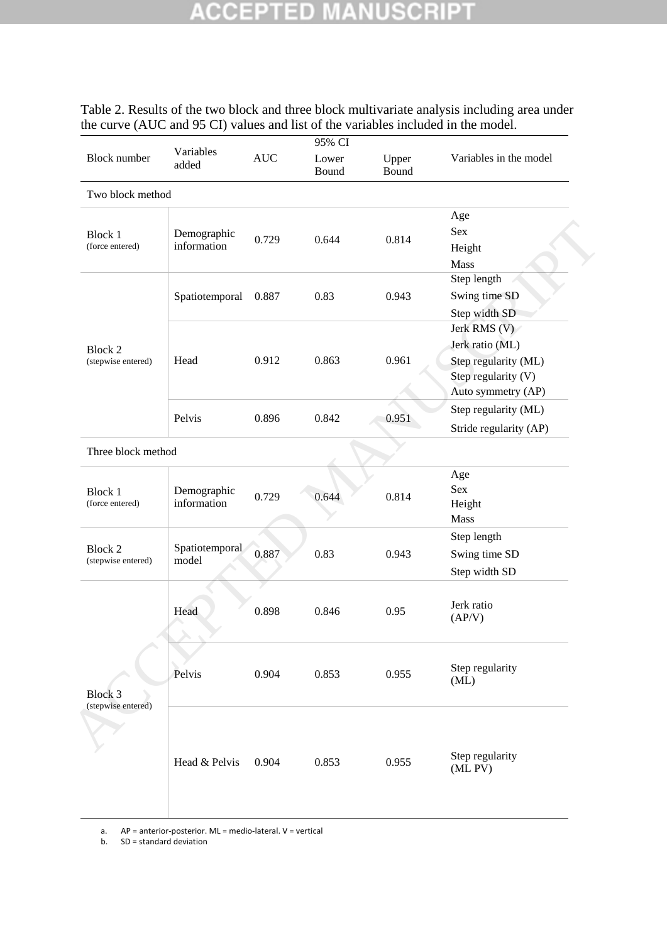### **CCEPTED IUSCR** P A W u,

## Table 2. Results of the two block and three block multivariate analysis including area under the curve (AUC and 95 CI) values and list of the variables included in the model.

|                                      |                            |            | 95% CI         |                |                                                                                                      |  |
|--------------------------------------|----------------------------|------------|----------------|----------------|------------------------------------------------------------------------------------------------------|--|
| <b>Block</b> number                  | Variables<br>added         | <b>AUC</b> | Lower<br>Bound | Upper<br>Bound | Variables in the model                                                                               |  |
| Two block method                     |                            |            |                |                |                                                                                                      |  |
| <b>Block 1</b><br>(force entered)    | Demographic<br>information | 0.729      | 0.644          | 0.814          | Age<br>Sex<br>Height<br>Mass                                                                         |  |
|                                      | Spatiotemporal             | 0.887      | 0.83           | 0.943          | Step length<br>Swing time SD<br>Step width SD                                                        |  |
| <b>Block 2</b><br>(stepwise entered) | Head                       | 0.912      | 0.863          | 0.961          | Jerk RMS (V)<br>Jerk ratio (ML)<br>Step regularity (ML)<br>Step regularity (V)<br>Auto symmetry (AP) |  |
|                                      | Pelvis                     | 0.896      | 0.842          | 0.951          | Step regularity (ML)<br>Stride regularity (AP)                                                       |  |
| Three block method                   |                            |            |                |                |                                                                                                      |  |
| <b>Block 1</b><br>(force entered)    | Demographic<br>information | 0.729      | 0.644          | 0.814          | Age<br>Sex<br>Height<br>Mass                                                                         |  |
| <b>Block 2</b><br>(stepwise entered) | Spatiotemporal<br>model    | 0.887      | 0.83           | 0.943          | Step length<br>Swing time SD<br>Step width SD                                                        |  |
|                                      | Head                       | 0.898      | 0.846          | 0.95           | Jerk ratio<br>(AP/V)                                                                                 |  |
| Block 3<br>(stepwise entered)        | Pelvis                     | 0.904      | 0.853          | 0.955          | Step regularity<br>(ML)                                                                              |  |
|                                      | Head & Pelvis              | 0.904      | 0.853          | 0.955          | Step regularity<br>(ML PV)                                                                           |  |

a. AP = anterior-posterior. ML = medio-lateral. V = vertical

b. SD = standard deviation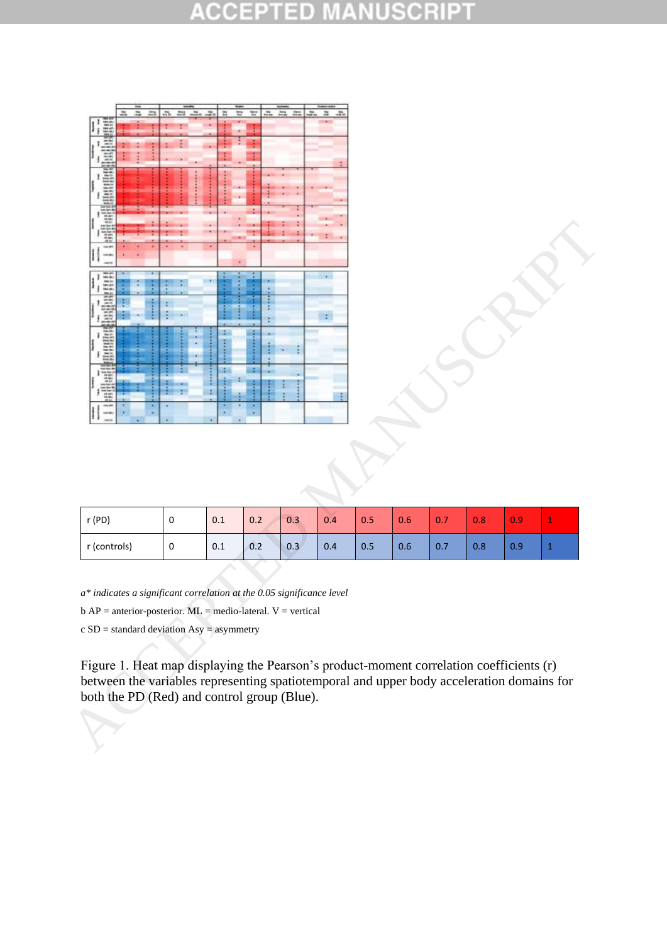### CCE B ЭĐ E  $\qquad \qquad \blacksquare$ à r C.



| r(PD)        | 0 | 0.1 | 0.2 | 0.3 | 0.4 | 0.5 | 0.6 | 0.7 | 0.8 | 0.9 | <b>Service</b> |
|--------------|---|-----|-----|-----|-----|-----|-----|-----|-----|-----|----------------|
| r (controls) | 0 | 0.1 | 0.2 | 0.3 | 0.4 | 0.5 | 0.6 | 0.7 | 0.8 | 0.9 | . .            |

*a\* indicates a significant correlation at the 0.05 significance level*

 $b AP = anterior-posterior. ML = medio-lateral. V = vertical$ 

c SD = standard deviation Asy = asymmetry

Figure 1. Heat map displaying the Pearson's product-moment correlation coefficients (r) between the variables representing spatiotemporal and upper body acceleration domains for both the PD (Red) and control group (Blue).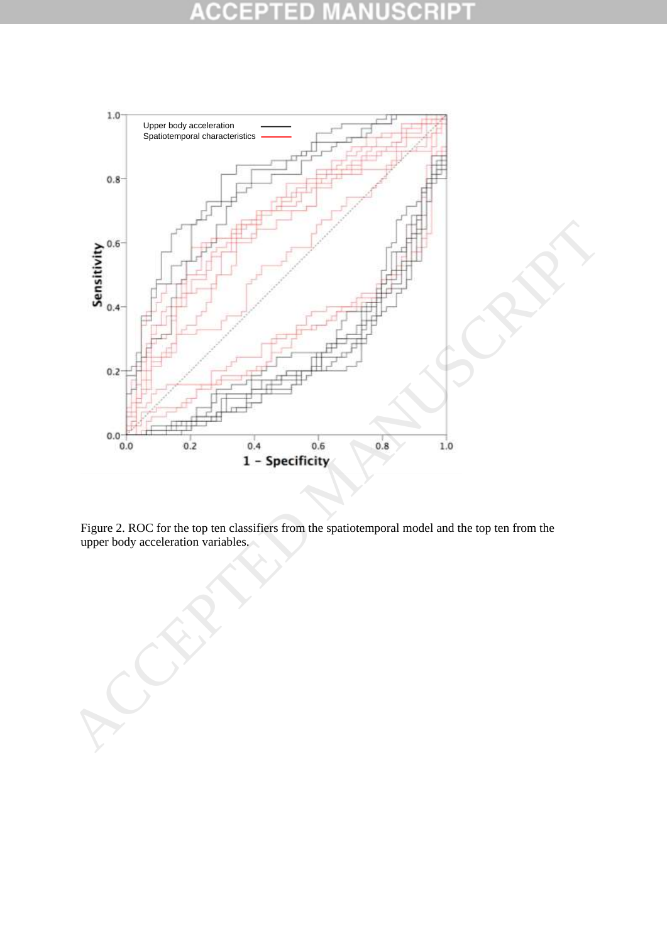### CO D



Figure 2. ROC for the top ten classifiers from the spatiotemporal model and the top ten from the upper body acceleration variables.